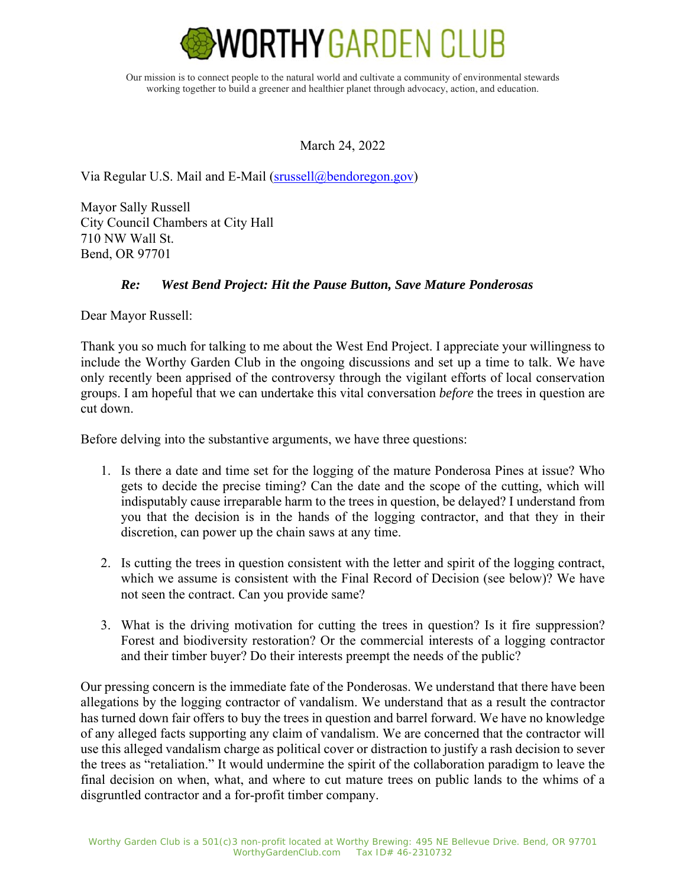

Our mission is to connect people to the natural world and cultivate a community of environmental stewards working together to build a greener and healthier planet through advocacy, action, and education.

March 24, 2022

Via Regular U.S. Mail and E-Mail (srussell@bendoregon.gov)

Mayor Sally Russell City Council Chambers at City Hall 710 NW Wall St. Bend, OR 97701

## *Re: West Bend Project: Hit the Pause Button, Save Mature Ponderosas*

Dear Mayor Russell:

Thank you so much for talking to me about the West End Project. I appreciate your willingness to include the Worthy Garden Club in the ongoing discussions and set up a time to talk. We have only recently been apprised of the controversy through the vigilant efforts of local conservation groups. I am hopeful that we can undertake this vital conversation *before* the trees in question are cut down.

Before delving into the substantive arguments, we have three questions:

- 1. Is there a date and time set for the logging of the mature Ponderosa Pines at issue? Who gets to decide the precise timing? Can the date and the scope of the cutting, which will indisputably cause irreparable harm to the trees in question, be delayed? I understand from you that the decision is in the hands of the logging contractor, and that they in their discretion, can power up the chain saws at any time.
- 2. Is cutting the trees in question consistent with the letter and spirit of the logging contract, which we assume is consistent with the Final Record of Decision (see below)? We have not seen the contract. Can you provide same?
- 3. What is the driving motivation for cutting the trees in question? Is it fire suppression? Forest and biodiversity restoration? Or the commercial interests of a logging contractor and their timber buyer? Do their interests preempt the needs of the public?

Our pressing concern is the immediate fate of the Ponderosas. We understand that there have been allegations by the logging contractor of vandalism. We understand that as a result the contractor has turned down fair offers to buy the trees in question and barrel forward. We have no knowledge of any alleged facts supporting any claim of vandalism. We are concerned that the contractor will use this alleged vandalism charge as political cover or distraction to justify a rash decision to sever the trees as "retaliation." It would undermine the spirit of the collaboration paradigm to leave the final decision on when, what, and where to cut mature trees on public lands to the whims of a disgruntled contractor and a for-profit timber company.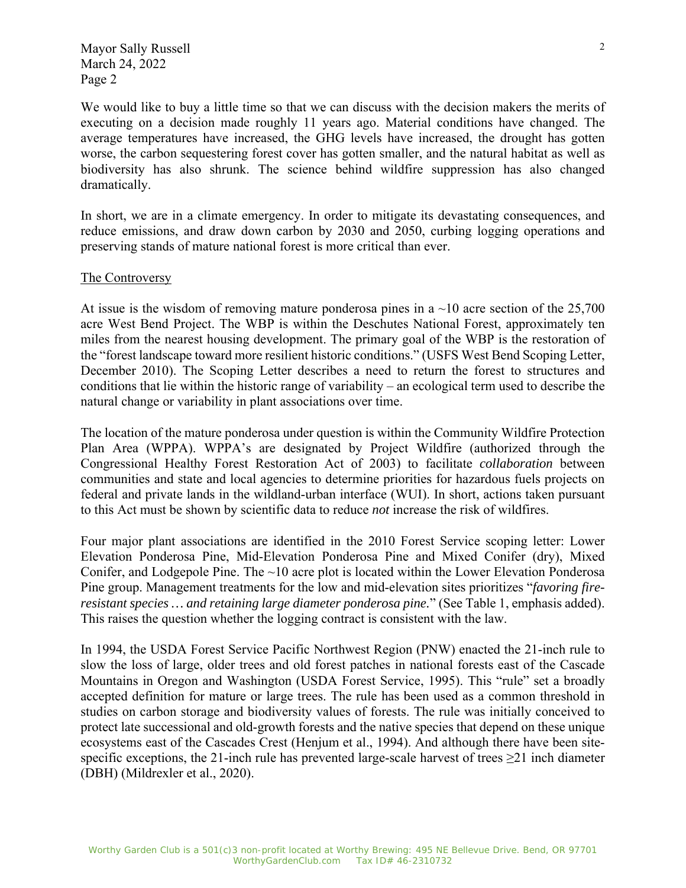We would like to buy a little time so that we can discuss with the decision makers the merits of executing on a decision made roughly 11 years ago. Material conditions have changed. The average temperatures have increased, the GHG levels have increased, the drought has gotten worse, the carbon sequestering forest cover has gotten smaller, and the natural habitat as well as biodiversity has also shrunk. The science behind wildfire suppression has also changed dramatically.

In short, we are in a climate emergency. In order to mitigate its devastating consequences, and reduce emissions, and draw down carbon by 2030 and 2050, curbing logging operations and preserving stands of mature national forest is more critical than ever.

## The Controversy

At issue is the wisdom of removing mature ponderosa pines in a  $\sim$ 10 acre section of the 25,700 acre West Bend Project. The WBP is within the Deschutes National Forest, approximately ten miles from the nearest housing development. The primary goal of the WBP is the restoration of the "forest landscape toward more resilient historic conditions." (USFS West Bend Scoping Letter, December 2010). The Scoping Letter describes a need to return the forest to structures and conditions that lie within the historic range of variability – an ecological term used to describe the natural change or variability in plant associations over time.

The location of the mature ponderosa under question is within the Community Wildfire Protection Plan Area (WPPA). WPPA's are designated by Project Wildfire (authorized through the Congressional Healthy Forest Restoration Act of 2003) to facilitate *collaboration* between communities and state and local agencies to determine priorities for hazardous fuels projects on federal and private lands in the wildland-urban interface (WUI). In short, actions taken pursuant to this Act must be shown by scientific data to reduce *not* increase the risk of wildfires.

Four major plant associations are identified in the 2010 Forest Service scoping letter: Lower Elevation Ponderosa Pine, Mid-Elevation Ponderosa Pine and Mixed Conifer (dry), Mixed Conifer, and Lodgepole Pine. The  $\sim$ 10 acre plot is located within the Lower Elevation Ponderosa Pine group. Management treatments for the low and mid-elevation sites prioritizes "*favoring fireresistant species … and retaining large diameter ponderosa pine.*" (See Table 1, emphasis added). This raises the question whether the logging contract is consistent with the law.

In 1994, the USDA Forest Service Pacific Northwest Region (PNW) enacted the 21-inch rule to slow the loss of large, older trees and old forest patches in national forests east of the Cascade Mountains in Oregon and Washington (USDA Forest Service, 1995). This "rule" set a broadly accepted definition for mature or large trees. The rule has been used as a common threshold in studies on carbon storage and biodiversity values of forests. The rule was initially conceived to protect late successional and old-growth forests and the native species that depend on these unique ecosystems east of the Cascades Crest (Henjum et al., 1994). And although there have been sitespecific exceptions, the 21-inch rule has prevented large-scale harvest of trees  $\geq$ 21 inch diameter (DBH) (Mildrexler et al., 2020).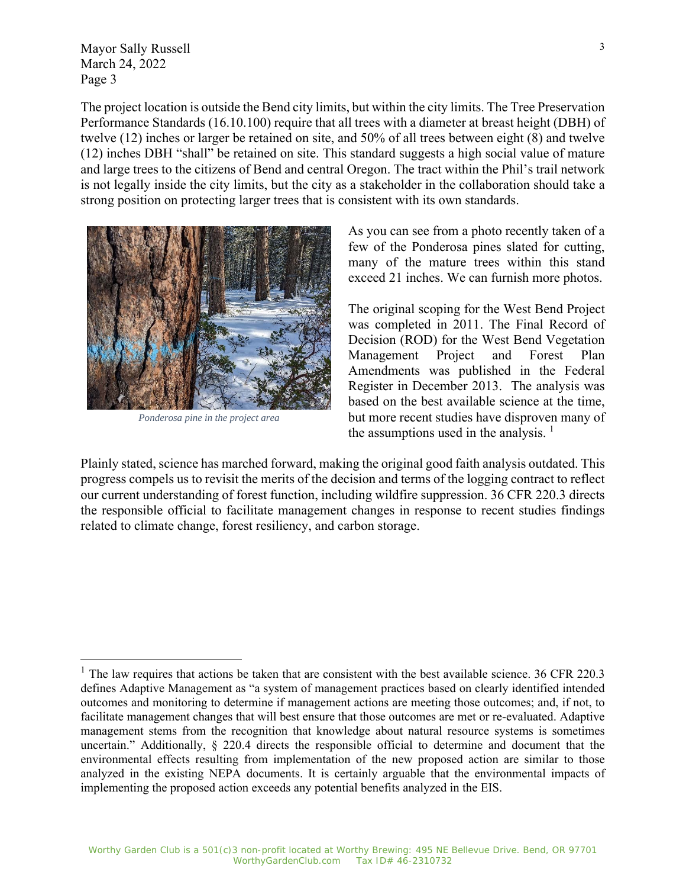The project location is outside the Bend city limits, but within the city limits. The Tree Preservation Performance Standards (16.10.100) require that all trees with a diameter at breast height (DBH) of twelve (12) inches or larger be retained on site, and 50% of all trees between eight (8) and twelve (12) inches DBH "shall" be retained on site. This standard suggests a high social value of mature and large trees to the citizens of Bend and central Oregon. The tract within the Phil's trail network is not legally inside the city limits, but the city as a stakeholder in the collaboration should take a strong position on protecting larger trees that is consistent with its own standards.



*Ponderosa pine in the project area*

As you can see from a photo recently taken of a few of the Ponderosa pines slated for cutting, many of the mature trees within this stand exceed 21 inches. We can furnish more photos.

The original scoping for the West Bend Project was completed in 2011. The Final Record of Decision (ROD) for the West Bend Vegetation Management Project and Forest Plan Amendments was published in the Federal Register in December 2013. The analysis was based on the best available science at the time, but more recent studies have disproven many of the assumptions used in the analysis.  $<sup>1</sup>$ </sup>

Plainly stated, science has marched forward, making the original good faith analysis outdated. This progress compels us to revisit the merits of the decision and terms of the logging contract to reflect our current understanding of forest function, including wildfire suppression. 36 CFR 220.3 directs the responsible official to facilitate management changes in response to recent studies findings related to climate change, forest resiliency, and carbon storage.

 $1$  The law requires that actions be taken that are consistent with the best available science. 36 CFR 220.3 defines Adaptive Management as "a system of management practices based on clearly identified intended outcomes and monitoring to determine if management actions are meeting those outcomes; and, if not, to facilitate management changes that will best ensure that those outcomes are met or re-evaluated. Adaptive management stems from the recognition that knowledge about natural resource systems is sometimes uncertain." Additionally, § 220.4 directs the responsible official to determine and document that the environmental effects resulting from implementation of the new proposed action are similar to those analyzed in the existing NEPA documents. It is certainly arguable that the environmental impacts of implementing the proposed action exceeds any potential benefits analyzed in the EIS.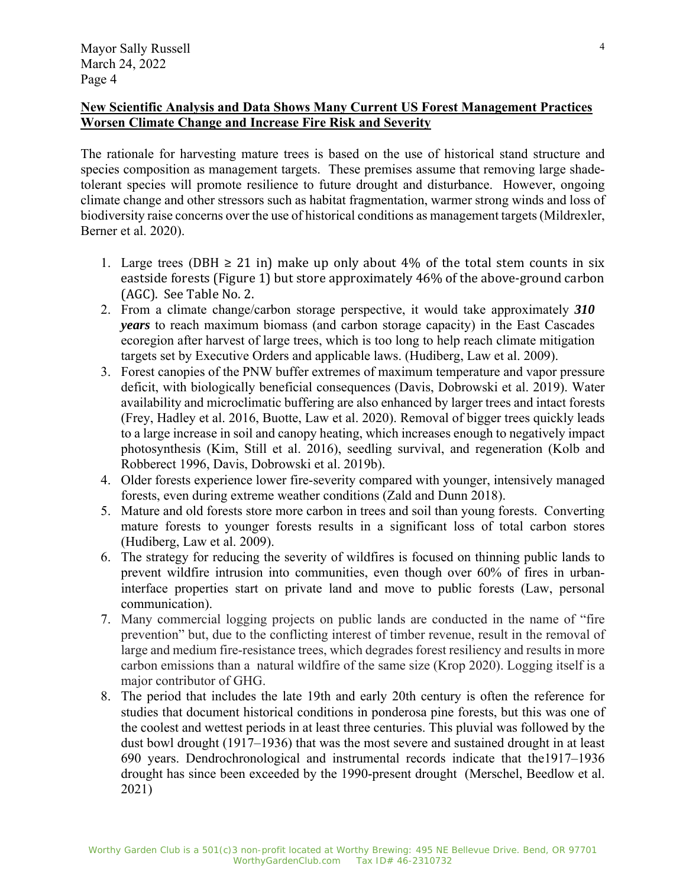## **New Scientific Analysis and Data Shows Many Current US Forest Management Practices Worsen Climate Change and Increase Fire Risk and Severity**

The rationale for harvesting mature trees is based on the use of historical stand structure and species composition as management targets. These premises assume that removing large shadetolerant species will promote resilience to future drought and disturbance. However, ongoing climate change and other stressors such as habitat fragmentation, warmer strong winds and loss of biodiversity raise concerns over the use of historical conditions as management targets (Mildrexler, Berner et al. 2020).

- 1. Large trees (DBH  $\geq$  21 in) make up only about 4% of the total stem counts in six eastside forests (Figure 1) but store approximately 46% of the above-ground carbon (AGC). See Table No. 2.
- 2. From a climate change/carbon storage perspective, it would take approximately *310 years* to reach maximum biomass (and carbon storage capacity) in the East Cascades ecoregion after harvest of large trees, which is too long to help reach climate mitigation targets set by Executive Orders and applicable laws. (Hudiberg, Law et al. 2009).
- 3. Forest canopies of the PNW buffer extremes of maximum temperature and vapor pressure deficit, with biologically beneficial consequences (Davis, Dobrowski et al. 2019). Water availability and microclimatic buffering are also enhanced by larger trees and intact forests (Frey, Hadley et al. 2016, Buotte, Law et al. 2020). Removal of bigger trees quickly leads to a large increase in soil and canopy heating, which increases enough to negatively impact photosynthesis (Kim, Still et al. 2016), seedling survival, and regeneration (Kolb and Robberect 1996, Davis, Dobrowski et al. 2019b).
- 4. Older forests experience lower fire-severity compared with younger, intensively managed forests, even during extreme weather conditions (Zald and Dunn 2018).
- 5. Mature and old forests store more carbon in trees and soil than young forests. Converting mature forests to younger forests results in a significant loss of total carbon stores (Hudiberg, Law et al. 2009).
- 6. The strategy for reducing the severity of wildfires is focused on thinning public lands to prevent wildfire intrusion into communities, even though over 60% of fires in urbaninterface properties start on private land and move to public forests (Law, personal communication).
- 7. Many commercial logging projects on public lands are conducted in the name of "fire prevention" but, due to the conflicting interest of timber revenue, result in the removal of large and medium fire-resistance trees, which degrades forest resiliency and results in more carbon emissions than a natural wildfire of the same size (Krop 2020). Logging itself is a major contributor of GHG.
- 8. The period that includes the late 19th and early 20th century is often the reference for studies that document historical conditions in ponderosa pine forests, but this was one of the coolest and wettest periods in at least three centuries. This pluvial was followed by the dust bowl drought (1917–1936) that was the most severe and sustained drought in at least 690 years. Dendrochronological and instrumental records indicate that the1917–1936 drought has since been exceeded by the 1990-present drought (Merschel, Beedlow et al. 2021)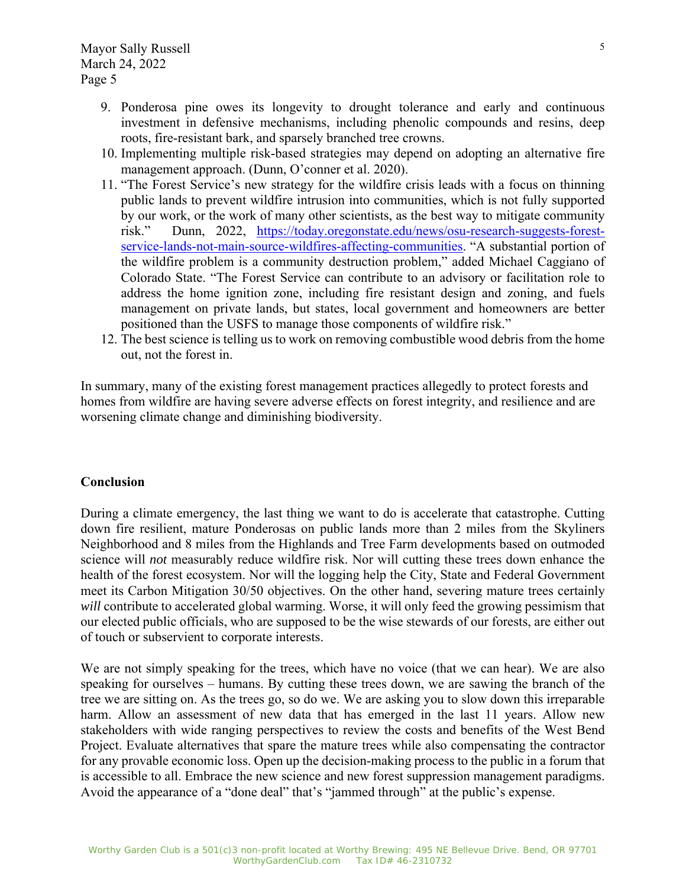- 9. Ponderosa pine owes its longevity to drought tolerance and early and continuous investment in defensive mechanisms, including phenolic compounds and resins, deep roots, fire-resistant bark, and sparsely branched tree crowns.
- 10. Implementing multiple risk-based strategies may depend on adopting an alternative fire management approach. (Dunn, O'conner et al. 2020).
- 11. "The Forest Service's new strategy for the wildfire crisis leads with a focus on thinning public lands to prevent wildfire intrusion into communities, which is not fully supported by our work, or the work of many other scientists, as the best way to mitigate community risk." Dunn, 2022, https://today.oregonstate.edu/news/osu-research-suggests-forestservice-lands-not-main-source-wildfires-affecting-communities. "A substantial portion of the wildfire problem is a community destruction problem," added Michael Caggiano of Colorado State. "The Forest Service can contribute to an advisory or facilitation role to address the home ignition zone, including fire resistant design and zoning, and fuels management on private lands, but states, local government and homeowners are better positioned than the USFS to manage those components of wildfire risk."
- 12. The best science is telling us to work on removing combustible wood debris from the home out, not the forest in.

In summary, many of the existing forest management practices allegedly to protect forests and homes from wildfire are having severe adverse effects on forest integrity, and resilience and are worsening climate change and diminishing biodiversity.

## **Conclusion**

During a climate emergency, the last thing we want to do is accelerate that catastrophe. Cutting down fire resilient, mature Ponderosas on public lands more than 2 miles from the Skyliners Neighborhood and 8 miles from the Highlands and Tree Farm developments based on outmoded science will *not* measurably reduce wildfire risk. Nor will cutting these trees down enhance the health of the forest ecosystem. Nor will the logging help the City, State and Federal Government meet its Carbon Mitigation 30/50 objectives. On the other hand, severing mature trees certainly *will* contribute to accelerated global warming. Worse, it will only feed the growing pessimism that our elected public officials, who are supposed to be the wise stewards of our forests, are either out of touch or subservient to corporate interests.

We are not simply speaking for the trees, which have no voice (that we can hear). We are also speaking for ourselves – humans. By cutting these trees down, we are sawing the branch of the tree we are sitting on. As the trees go, so do we. We are asking you to slow down this irreparable harm. Allow an assessment of new data that has emerged in the last 11 years. Allow new stakeholders with wide ranging perspectives to review the costs and benefits of the West Bend Project. Evaluate alternatives that spare the mature trees while also compensating the contractor for any provable economic loss. Open up the decision-making process to the public in a forum that is accessible to all. Embrace the new science and new forest suppression management paradigms. Avoid the appearance of a "done deal" that's "jammed through" at the public's expense.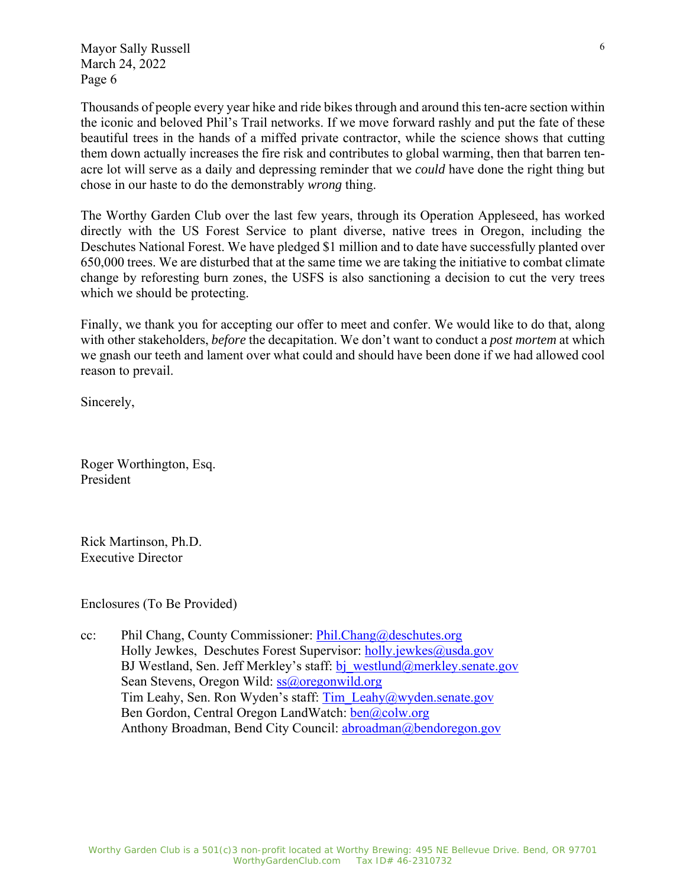Thousands of people every year hike and ride bikes through and around this ten-acre section within the iconic and beloved Phil's Trail networks. If we move forward rashly and put the fate of these beautiful trees in the hands of a miffed private contractor, while the science shows that cutting them down actually increases the fire risk and contributes to global warming, then that barren tenacre lot will serve as a daily and depressing reminder that we *could* have done the right thing but chose in our haste to do the demonstrably *wrong* thing.

The Worthy Garden Club over the last few years, through its Operation Appleseed, has worked directly with the US Forest Service to plant diverse, native trees in Oregon, including the Deschutes National Forest. We have pledged \$1 million and to date have successfully planted over 650,000 trees. We are disturbed that at the same time we are taking the initiative to combat climate change by reforesting burn zones, the USFS is also sanctioning a decision to cut the very trees which we should be protecting.

Finally, we thank you for accepting our offer to meet and confer. We would like to do that, along with other stakeholders, *before* the decapitation. We don't want to conduct a *post mortem* at which we gnash our teeth and lament over what could and should have been done if we had allowed cool reason to prevail.

Sincerely,

Roger Worthington, Esq. President

Rick Martinson, Ph.D. Executive Director

Enclosures (To Be Provided)

cc: Phil Chang, County Commissioner: Phil.Chang@deschutes.org Holly Jewkes, Deschutes Forest Supervisor: holly.jewkes@usda.gov BJ Westland, Sen. Jeff Merkley's staff: bj\_westlund@merkley.senate.gov Sean Stevens, Oregon Wild: ss@oregonwild.org Tim Leahy, Sen. Ron Wyden's staff: Tim\_Leahy@wyden.senate.gov Ben Gordon, Central Oregon LandWatch: ben@colw.org Anthony Broadman, Bend City Council: abroadman@bendoregon.gov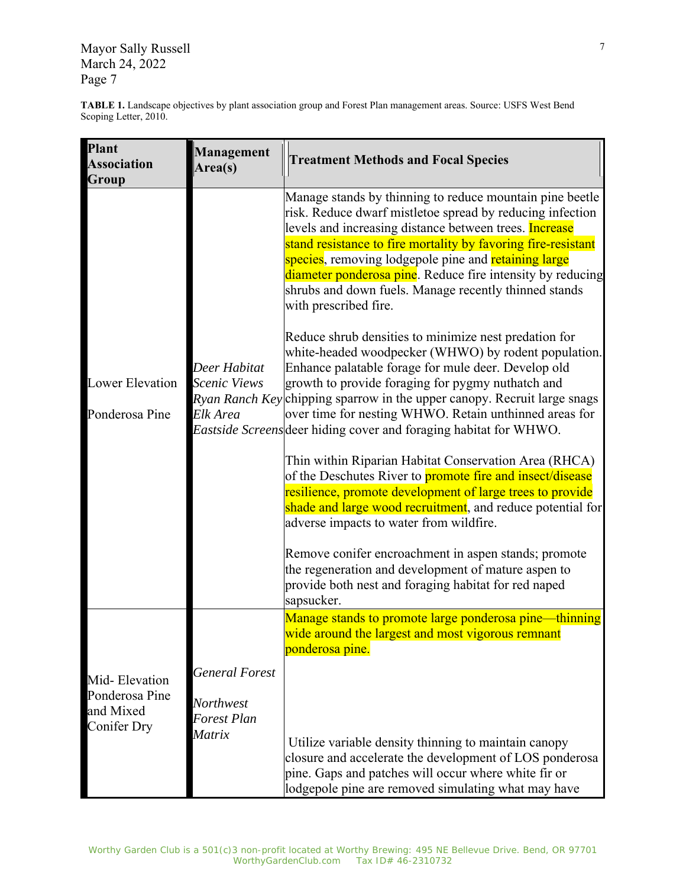**TABLE 1.** Landscape objectives by plant association group and Forest Plan management areas. Source: USFS West Bend Scoping Letter, 2010.

| <b>Plant</b><br><b>Association</b><br>Group                        | Management<br>Area(s)                                              | <b>Treatment Methods and Focal Species</b>                                                                                                                                                                                                                                                                                                                                                                                                                                                                                                                                                                                                                                                                                                                                                                                                                                                                                                                                                                                                                                                                                                                                                                                                                                                                                                                                                                          |
|--------------------------------------------------------------------|--------------------------------------------------------------------|---------------------------------------------------------------------------------------------------------------------------------------------------------------------------------------------------------------------------------------------------------------------------------------------------------------------------------------------------------------------------------------------------------------------------------------------------------------------------------------------------------------------------------------------------------------------------------------------------------------------------------------------------------------------------------------------------------------------------------------------------------------------------------------------------------------------------------------------------------------------------------------------------------------------------------------------------------------------------------------------------------------------------------------------------------------------------------------------------------------------------------------------------------------------------------------------------------------------------------------------------------------------------------------------------------------------------------------------------------------------------------------------------------------------|
| <b>Lower Elevation</b><br>Ponderosa Pine                           | Deer Habitat<br>Scenic Views<br>Elk Area                           | Manage stands by thinning to reduce mountain pine beetle<br>risk. Reduce dwarf mistletoe spread by reducing infection<br>levels and increasing distance between trees. <b>Increase</b><br>stand resistance to fire mortality by favoring fire-resistant<br>species, removing lodgepole pine and <mark>retaining large</mark><br>diameter ponderosa pine. Reduce fire intensity by reducing<br>shrubs and down fuels. Manage recently thinned stands<br>with prescribed fire.<br>Reduce shrub densities to minimize nest predation for<br>white-headed woodpecker (WHWO) by rodent population.<br>Enhance palatable forage for mule deer. Develop old<br>growth to provide foraging for pygmy nuthatch and<br>Ryan Ranch Key chipping sparrow in the upper canopy. Recruit large snags<br>over time for nesting WHWO. Retain unthinned areas for<br><i>Eastside Screens</i> deer hiding cover and foraging habitat for WHWO.<br>Thin within Riparian Habitat Conservation Area (RHCA)<br>of the Deschutes River to <b>promote fire and insect/disease</b><br>resilience, promote development of large trees to provide<br>shade and large wood recruitment, and reduce potential for<br>adverse impacts to water from wildfire.<br>Remove conifer encroachment in aspen stands; promote<br>the regeneration and development of mature aspen to<br>provide both nest and foraging habitat for red naped<br>sapsucker. |
|                                                                    |                                                                    | Manage stands to promote large ponderosa pine—thinning<br>wide around the largest and most vigorous remnant<br>ponderosa pine.                                                                                                                                                                                                                                                                                                                                                                                                                                                                                                                                                                                                                                                                                                                                                                                                                                                                                                                                                                                                                                                                                                                                                                                                                                                                                      |
| Mid-Elevation<br>Ponderosa Pine<br>and Mixed<br><b>Conifer Dry</b> | <b>General Forest</b><br>Northwest<br><b>Forest Plan</b><br>Matrix | Utilize variable density thinning to maintain canopy<br>closure and accelerate the development of LOS ponderosa<br>pine. Gaps and patches will occur where white fir or<br>lodgepole pine are removed simulating what may have                                                                                                                                                                                                                                                                                                                                                                                                                                                                                                                                                                                                                                                                                                                                                                                                                                                                                                                                                                                                                                                                                                                                                                                      |